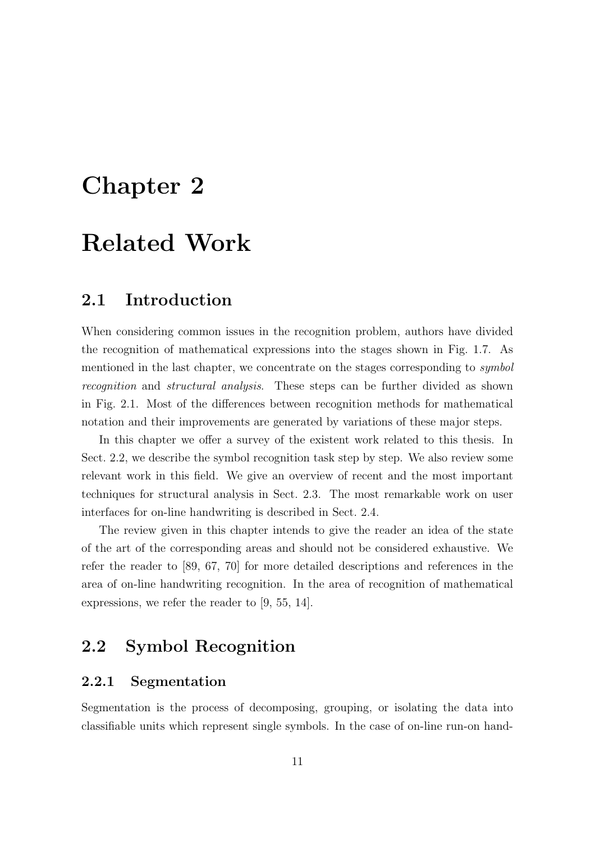# Chapter 2

# Related Work

## 2.1 Introduction

When considering common issues in the recognition problem, authors have divided the recognition of mathematical expressions into the stages shown in Fig. 1.7. As mentioned in the last chapter, we concentrate on the stages corresponding to *symbol* recognition and structural analysis. These steps can be further divided as shown in Fig. 2.1. Most of the differences between recognition methods for mathematical notation and their improvements are generated by variations of these major steps.

In this chapter we offer a survey of the existent work related to this thesis. In Sect. 2.2, we describe the symbol recognition task step by step. We also review some relevant work in this field. We give an overview of recent and the most important techniques for structural analysis in Sect. 2.3. The most remarkable work on user interfaces for on-line handwriting is described in Sect. 2.4.

The review given in this chapter intends to give the reader an idea of the state of the art of the corresponding areas and should not be considered exhaustive. We refer the reader to [89, 67, 70] for more detailed descriptions and references in the area of on-line handwriting recognition. In the area of recognition of mathematical expressions, we refer the reader to [9, 55, 14].

## 2.2 Symbol Recognition

## 2.2.1 Segmentation

Segmentation is the process of decomposing, grouping, or isolating the data into classifiable units which represent single symbols. In the case of on-line run-on hand-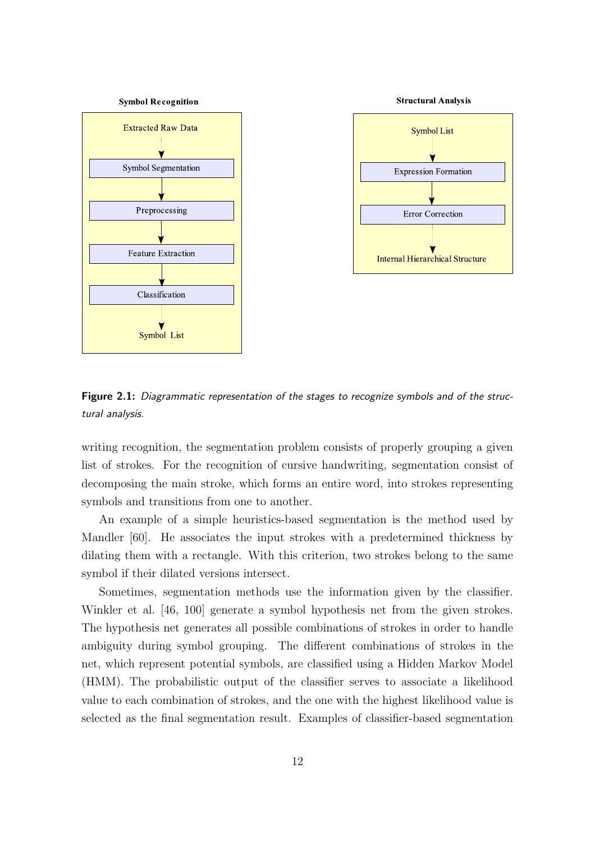

Figure 2.1: Diagrammatic representation of the stages to recognize symbols and of the structural analysis.

writing recognition, the segmentation problem consists of properly grouping a given list of strokes. For the recognition of cursive handwriting, segmentation consist of decomposing the main stroke, which forms an entire word, into strokes representing symbols and transitions from one to another.

An example of a simple heuristics-based segmentation is the method used by Mandler [60]. He associates the input strokes with a predetermined thickness by dilating them with a rectangle. With this criterion, two strokes belong to the same symbol if their dilated versions intersect.

Sometimes, segmentation methods use the information given by the classifier. Winkler et al. [46, 100] generate a symbol hypothesis net from the given strokes. The hypothesis net generates all possible combinations of strokes in order to handle ambiguity during symbol grouping. The different combinations of strokes in the net, which represent potential symbols, are classified using a Hidden Markov Model (HMM). The probabilistic output of the classifier serves to associate a likelihood value to each combination of strokes, and the one with the highest likelihood value is selected as the final segmentation result. Examples of classifier-based segmentation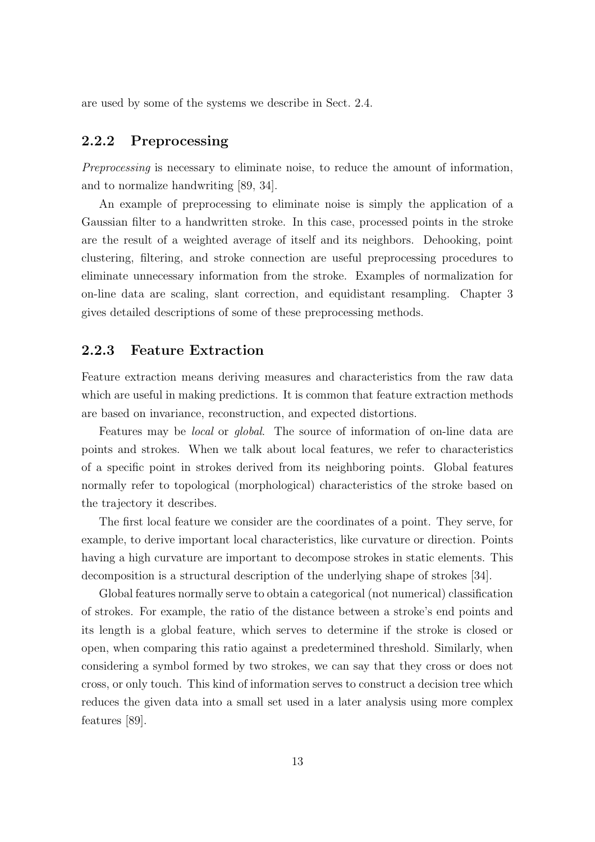are used by some of the systems we describe in Sect. 2.4.

## 2.2.2 Preprocessing

Preprocessing is necessary to eliminate noise, to reduce the amount of information, and to normalize handwriting [89, 34].

An example of preprocessing to eliminate noise is simply the application of a Gaussian filter to a handwritten stroke. In this case, processed points in the stroke are the result of a weighted average of itself and its neighbors. Dehooking, point clustering, filtering, and stroke connection are useful preprocessing procedures to eliminate unnecessary information from the stroke. Examples of normalization for on-line data are scaling, slant correction, and equidistant resampling. Chapter 3 gives detailed descriptions of some of these preprocessing methods.

### 2.2.3 Feature Extraction

Feature extraction means deriving measures and characteristics from the raw data which are useful in making predictions. It is common that feature extraction methods are based on invariance, reconstruction, and expected distortions.

Features may be local or global. The source of information of on-line data are points and strokes. When we talk about local features, we refer to characteristics of a specific point in strokes derived from its neighboring points. Global features normally refer to topological (morphological) characteristics of the stroke based on the trajectory it describes.

The first local feature we consider are the coordinates of a point. They serve, for example, to derive important local characteristics, like curvature or direction. Points having a high curvature are important to decompose strokes in static elements. This decomposition is a structural description of the underlying shape of strokes [34].

Global features normally serve to obtain a categorical (not numerical) classification of strokes. For example, the ratio of the distance between a stroke's end points and its length is a global feature, which serves to determine if the stroke is closed or open, when comparing this ratio against a predetermined threshold. Similarly, when considering a symbol formed by two strokes, we can say that they cross or does not cross, or only touch. This kind of information serves to construct a decision tree which reduces the given data into a small set used in a later analysis using more complex features [89].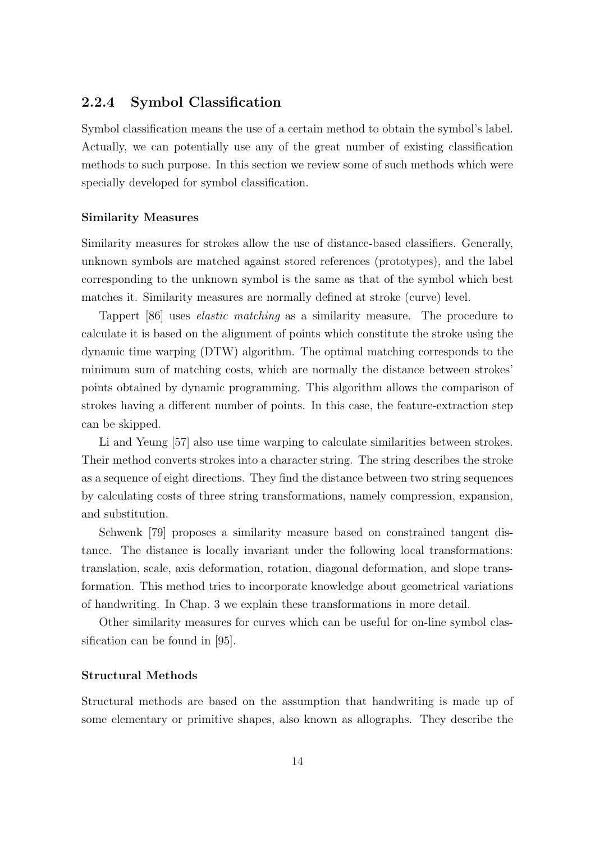## 2.2.4 Symbol Classification

Symbol classification means the use of a certain method to obtain the symbol's label. Actually, we can potentially use any of the great number of existing classification methods to such purpose. In this section we review some of such methods which were specially developed for symbol classification.

#### Similarity Measures

Similarity measures for strokes allow the use of distance-based classifiers. Generally, unknown symbols are matched against stored references (prototypes), and the label corresponding to the unknown symbol is the same as that of the symbol which best matches it. Similarity measures are normally defined at stroke (curve) level.

Tappert [86] uses elastic matching as a similarity measure. The procedure to calculate it is based on the alignment of points which constitute the stroke using the dynamic time warping (DTW) algorithm. The optimal matching corresponds to the minimum sum of matching costs, which are normally the distance between strokes' points obtained by dynamic programming. This algorithm allows the comparison of strokes having a different number of points. In this case, the feature-extraction step can be skipped.

Li and Yeung [57] also use time warping to calculate similarities between strokes. Their method converts strokes into a character string. The string describes the stroke as a sequence of eight directions. They find the distance between two string sequences by calculating costs of three string transformations, namely compression, expansion, and substitution.

Schwenk [79] proposes a similarity measure based on constrained tangent distance. The distance is locally invariant under the following local transformations: translation, scale, axis deformation, rotation, diagonal deformation, and slope transformation. This method tries to incorporate knowledge about geometrical variations of handwriting. In Chap. 3 we explain these transformations in more detail.

Other similarity measures for curves which can be useful for on-line symbol classification can be found in [95].

#### Structural Methods

Structural methods are based on the assumption that handwriting is made up of some elementary or primitive shapes, also known as allographs. They describe the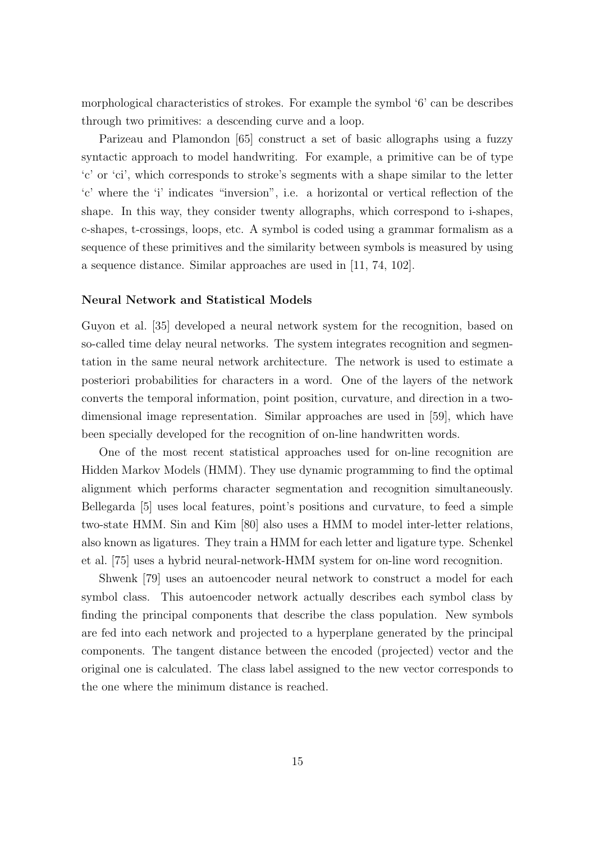morphological characteristics of strokes. For example the symbol '6' can be describes through two primitives: a descending curve and a loop.

Parizeau and Plamondon [65] construct a set of basic allographs using a fuzzy syntactic approach to model handwriting. For example, a primitive can be of type 'c' or 'ci', which corresponds to stroke's segments with a shape similar to the letter 'c' where the 'i' indicates "inversion", i.e. a horizontal or vertical reflection of the shape. In this way, they consider twenty allographs, which correspond to i-shapes, c-shapes, t-crossings, loops, etc. A symbol is coded using a grammar formalism as a sequence of these primitives and the similarity between symbols is measured by using a sequence distance. Similar approaches are used in [11, 74, 102].

#### Neural Network and Statistical Models

Guyon et al. [35] developed a neural network system for the recognition, based on so-called time delay neural networks. The system integrates recognition and segmentation in the same neural network architecture. The network is used to estimate a posteriori probabilities for characters in a word. One of the layers of the network converts the temporal information, point position, curvature, and direction in a twodimensional image representation. Similar approaches are used in [59], which have been specially developed for the recognition of on-line handwritten words.

One of the most recent statistical approaches used for on-line recognition are Hidden Markov Models (HMM). They use dynamic programming to find the optimal alignment which performs character segmentation and recognition simultaneously. Bellegarda [5] uses local features, point's positions and curvature, to feed a simple two-state HMM. Sin and Kim [80] also uses a HMM to model inter-letter relations, also known as ligatures. They train a HMM for each letter and ligature type. Schenkel et al. [75] uses a hybrid neural-network-HMM system for on-line word recognition.

Shwenk [79] uses an autoencoder neural network to construct a model for each symbol class. This autoencoder network actually describes each symbol class by finding the principal components that describe the class population. New symbols are fed into each network and projected to a hyperplane generated by the principal components. The tangent distance between the encoded (projected) vector and the original one is calculated. The class label assigned to the new vector corresponds to the one where the minimum distance is reached.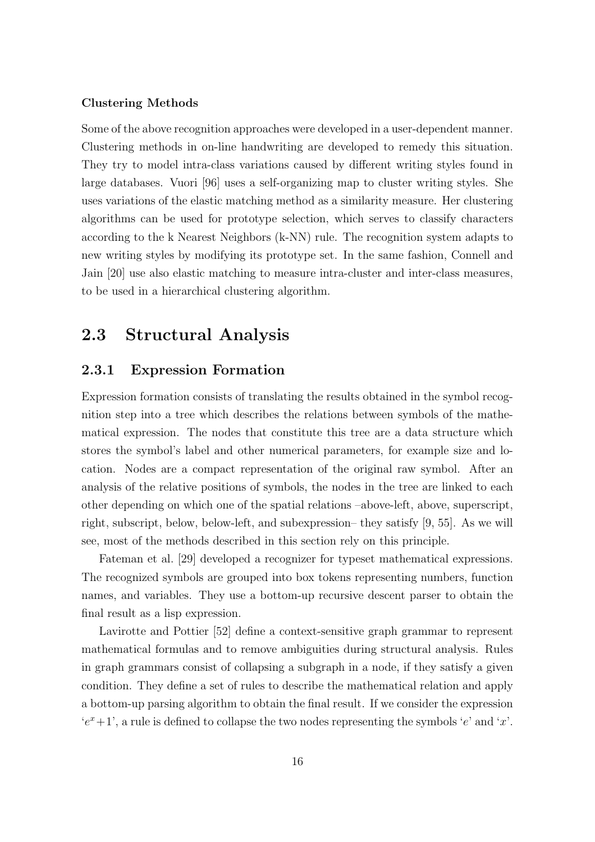#### Clustering Methods

Some of the above recognition approaches were developed in a user-dependent manner. Clustering methods in on-line handwriting are developed to remedy this situation. They try to model intra-class variations caused by different writing styles found in large databases. Vuori [96] uses a self-organizing map to cluster writing styles. She uses variations of the elastic matching method as a similarity measure. Her clustering algorithms can be used for prototype selection, which serves to classify characters according to the k Nearest Neighbors (k-NN) rule. The recognition system adapts to new writing styles by modifying its prototype set. In the same fashion, Connell and Jain [20] use also elastic matching to measure intra-cluster and inter-class measures, to be used in a hierarchical clustering algorithm.

## 2.3 Structural Analysis

## 2.3.1 Expression Formation

Expression formation consists of translating the results obtained in the symbol recognition step into a tree which describes the relations between symbols of the mathematical expression. The nodes that constitute this tree are a data structure which stores the symbol's label and other numerical parameters, for example size and location. Nodes are a compact representation of the original raw symbol. After an analysis of the relative positions of symbols, the nodes in the tree are linked to each other depending on which one of the spatial relations –above-left, above, superscript, right, subscript, below, below-left, and subexpression– they satisfy [9, 55]. As we will see, most of the methods described in this section rely on this principle.

Fateman et al. [29] developed a recognizer for typeset mathematical expressions. The recognized symbols are grouped into box tokens representing numbers, function names, and variables. They use a bottom-up recursive descent parser to obtain the final result as a lisp expression.

Lavirotte and Pottier [52] define a context-sensitive graph grammar to represent mathematical formulas and to remove ambiguities during structural analysis. Rules in graph grammars consist of collapsing a subgraph in a node, if they satisfy a given condition. They define a set of rules to describe the mathematical relation and apply a bottom-up parsing algorithm to obtain the final result. If we consider the expression  $'e^x+1'$ , a rule is defined to collapse the two nodes representing the symbols 'e' and 'x'.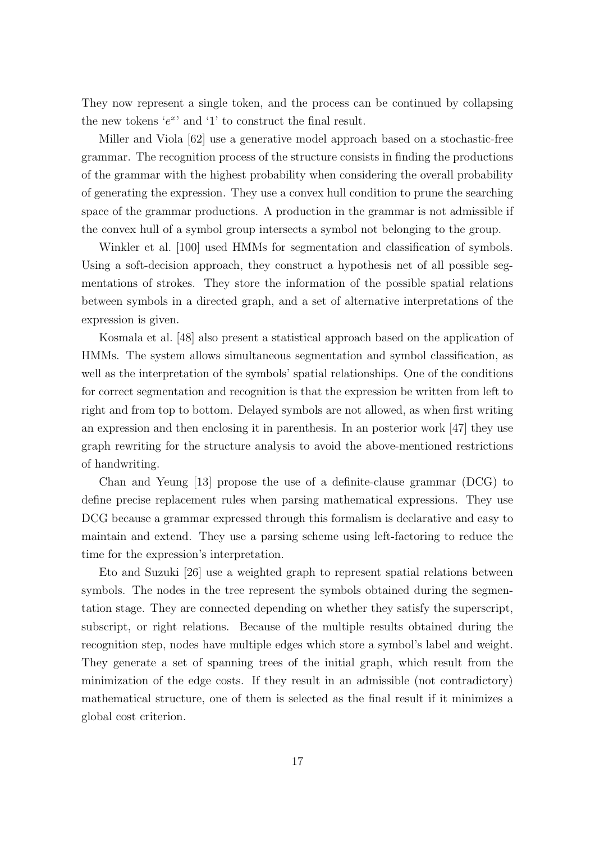They now represent a single token, and the process can be continued by collapsing the new tokens ' $e^x$ ' and '1' to construct the final result.

Miller and Viola [62] use a generative model approach based on a stochastic-free grammar. The recognition process of the structure consists in finding the productions of the grammar with the highest probability when considering the overall probability of generating the expression. They use a convex hull condition to prune the searching space of the grammar productions. A production in the grammar is not admissible if the convex hull of a symbol group intersects a symbol not belonging to the group.

Winkler et al. [100] used HMMs for segmentation and classification of symbols. Using a soft-decision approach, they construct a hypothesis net of all possible segmentations of strokes. They store the information of the possible spatial relations between symbols in a directed graph, and a set of alternative interpretations of the expression is given.

Kosmala et al. [48] also present a statistical approach based on the application of HMMs. The system allows simultaneous segmentation and symbol classification, as well as the interpretation of the symbols' spatial relationships. One of the conditions for correct segmentation and recognition is that the expression be written from left to right and from top to bottom. Delayed symbols are not allowed, as when first writing an expression and then enclosing it in parenthesis. In an posterior work [47] they use graph rewriting for the structure analysis to avoid the above-mentioned restrictions of handwriting.

Chan and Yeung [13] propose the use of a definite-clause grammar (DCG) to define precise replacement rules when parsing mathematical expressions. They use DCG because a grammar expressed through this formalism is declarative and easy to maintain and extend. They use a parsing scheme using left-factoring to reduce the time for the expression's interpretation.

Eto and Suzuki [26] use a weighted graph to represent spatial relations between symbols. The nodes in the tree represent the symbols obtained during the segmentation stage. They are connected depending on whether they satisfy the superscript, subscript, or right relations. Because of the multiple results obtained during the recognition step, nodes have multiple edges which store a symbol's label and weight. They generate a set of spanning trees of the initial graph, which result from the minimization of the edge costs. If they result in an admissible (not contradictory) mathematical structure, one of them is selected as the final result if it minimizes a global cost criterion.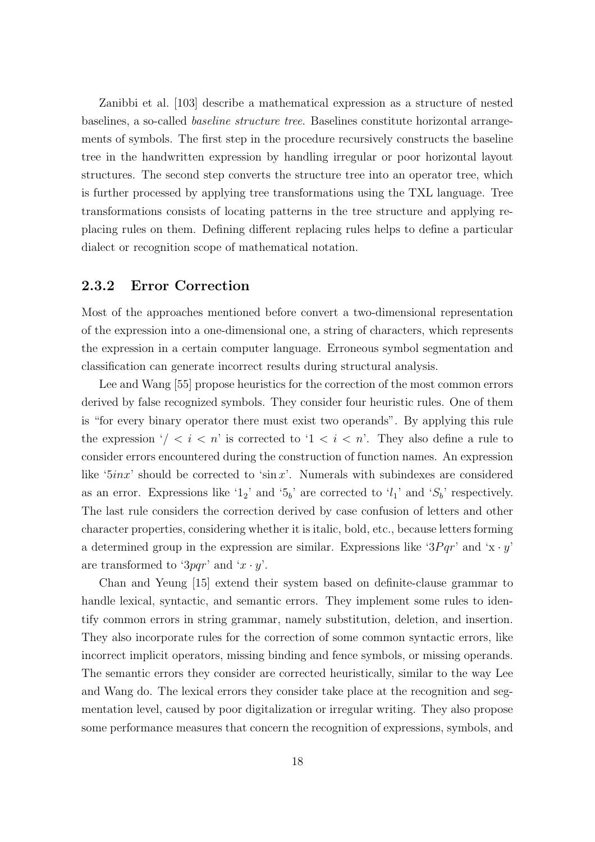Zanibbi et al. [103] describe a mathematical expression as a structure of nested baselines, a so-called baseline structure tree. Baselines constitute horizontal arrangements of symbols. The first step in the procedure recursively constructs the baseline tree in the handwritten expression by handling irregular or poor horizontal layout structures. The second step converts the structure tree into an operator tree, which is further processed by applying tree transformations using the TXL language. Tree transformations consists of locating patterns in the tree structure and applying replacing rules on them. Defining different replacing rules helps to define a particular dialect or recognition scope of mathematical notation.

## 2.3.2 Error Correction

Most of the approaches mentioned before convert a two-dimensional representation of the expression into a one-dimensional one, a string of characters, which represents the expression in a certain computer language. Erroneous symbol segmentation and classification can generate incorrect results during structural analysis.

Lee and Wang [55] propose heuristics for the correction of the most common errors derived by false recognized symbols. They consider four heuristic rules. One of them is "for every binary operator there must exist two operands". By applying this rule the expression  $\sqrt{i} < i < n$  is corrected to  $1 < i < n$ . They also define a rule to consider errors encountered during the construction of function names. An expression like ' $5inx$ ' should be corrected to 'sin x'. Numerals with subindexes are considered as an error. Expressions like '1<sub>2</sub>' and '5<sub>b</sub>' are corrected to ' $l_1$ ' and ' $S_b$ ' respectively. The last rule considers the correction derived by case confusion of letters and other character properties, considering whether it is italic, bold, etc., because letters forming a determined group in the expression are similar. Expressions like ' $3Pqr$ ' and 'x · y' are transformed to '3pqr' and ' $x \cdot y'$ .

Chan and Yeung [15] extend their system based on definite-clause grammar to handle lexical, syntactic, and semantic errors. They implement some rules to identify common errors in string grammar, namely substitution, deletion, and insertion. They also incorporate rules for the correction of some common syntactic errors, like incorrect implicit operators, missing binding and fence symbols, or missing operands. The semantic errors they consider are corrected heuristically, similar to the way Lee and Wang do. The lexical errors they consider take place at the recognition and segmentation level, caused by poor digitalization or irregular writing. They also propose some performance measures that concern the recognition of expressions, symbols, and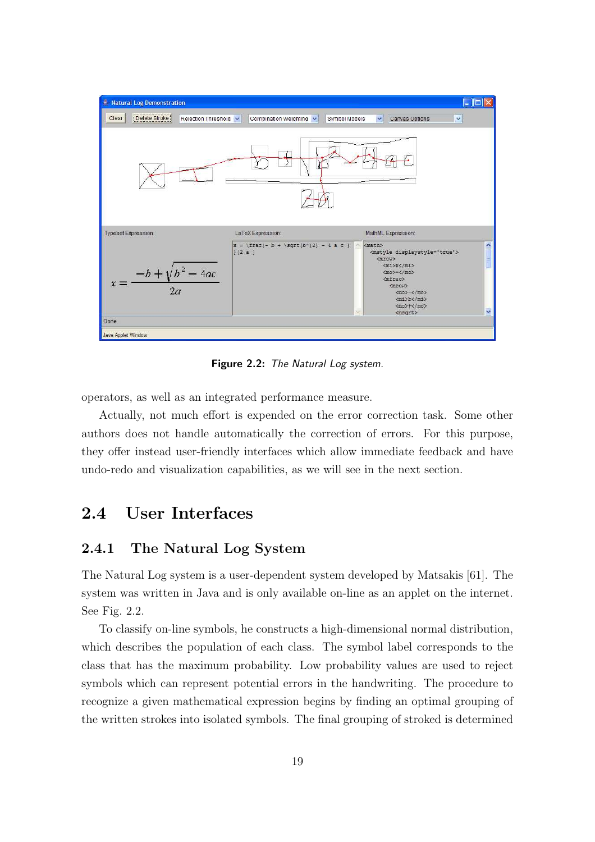

Figure 2.2: The Natural Log system.

operators, as well as an integrated performance measure.

Actually, not much effort is expended on the error correction task. Some other authors does not handle automatically the correction of errors. For this purpose, they offer instead user-friendly interfaces which allow immediate feedback and have undo-redo and visualization capabilities, as we will see in the next section.

# 2.4 User Interfaces

## 2.4.1 The Natural Log System

The Natural Log system is a user-dependent system developed by Matsakis [61]. The system was written in Java and is only available on-line as an applet on the internet. See Fig. 2.2.

To classify on-line symbols, he constructs a high-dimensional normal distribution, which describes the population of each class. The symbol label corresponds to the class that has the maximum probability. Low probability values are used to reject symbols which can represent potential errors in the handwriting. The procedure to recognize a given mathematical expression begins by finding an optimal grouping of the written strokes into isolated symbols. The final grouping of stroked is determined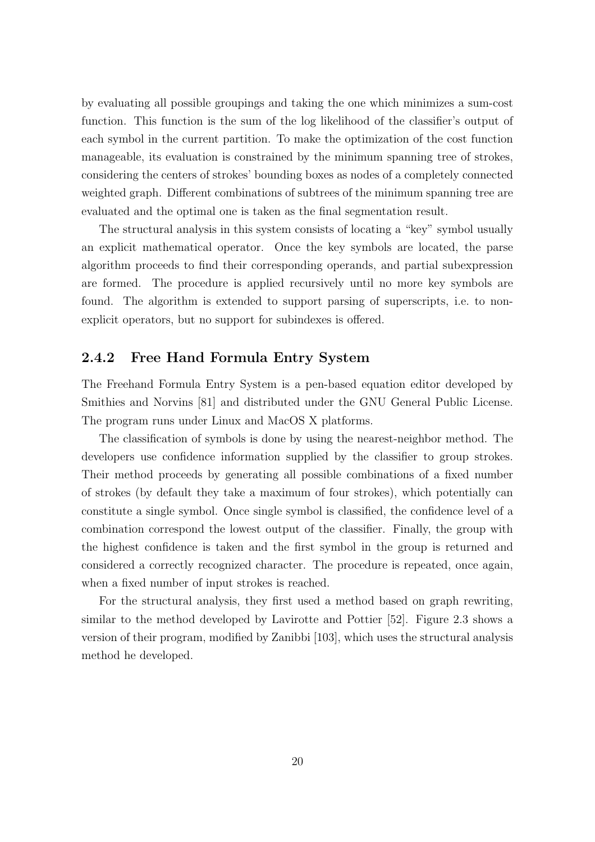by evaluating all possible groupings and taking the one which minimizes a sum-cost function. This function is the sum of the log likelihood of the classifier's output of each symbol in the current partition. To make the optimization of the cost function manageable, its evaluation is constrained by the minimum spanning tree of strokes, considering the centers of strokes' bounding boxes as nodes of a completely connected weighted graph. Different combinations of subtrees of the minimum spanning tree are evaluated and the optimal one is taken as the final segmentation result.

The structural analysis in this system consists of locating a "key" symbol usually an explicit mathematical operator. Once the key symbols are located, the parse algorithm proceeds to find their corresponding operands, and partial subexpression are formed. The procedure is applied recursively until no more key symbols are found. The algorithm is extended to support parsing of superscripts, i.e. to nonexplicit operators, but no support for subindexes is offered.

## 2.4.2 Free Hand Formula Entry System

The Freehand Formula Entry System is a pen-based equation editor developed by Smithies and Norvins [81] and distributed under the GNU General Public License. The program runs under Linux and MacOS X platforms.

The classification of symbols is done by using the nearest-neighbor method. The developers use confidence information supplied by the classifier to group strokes. Their method proceeds by generating all possible combinations of a fixed number of strokes (by default they take a maximum of four strokes), which potentially can constitute a single symbol. Once single symbol is classified, the confidence level of a combination correspond the lowest output of the classifier. Finally, the group with the highest confidence is taken and the first symbol in the group is returned and considered a correctly recognized character. The procedure is repeated, once again, when a fixed number of input strokes is reached.

For the structural analysis, they first used a method based on graph rewriting, similar to the method developed by Lavirotte and Pottier [52]. Figure 2.3 shows a version of their program, modified by Zanibbi [103], which uses the structural analysis method he developed.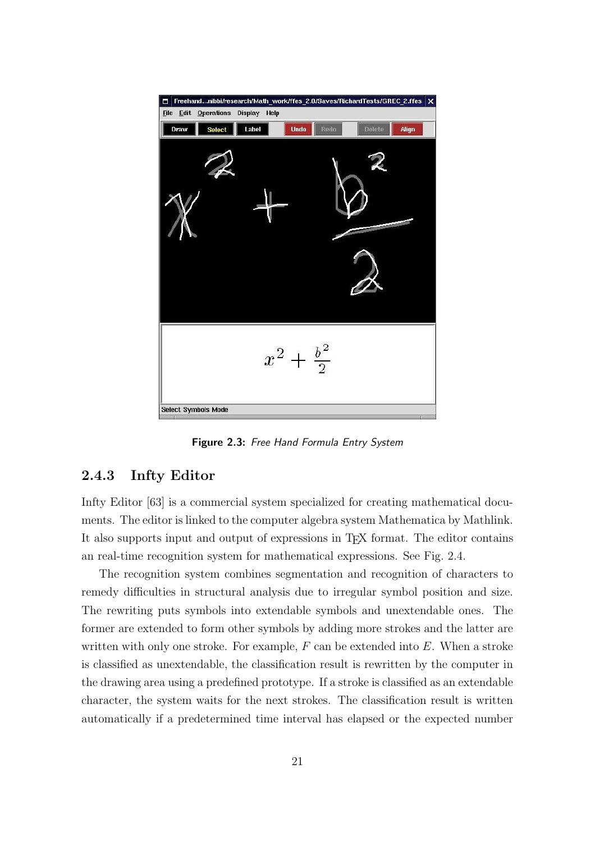

Figure 2.3: Free Hand Formula Entry System

## 2.4.3 Infty Editor

Infty Editor [63] is a commercial system specialized for creating mathematical documents. The editor is linked to the computer algebra system Mathematica by Mathlink. It also supports input and output of expressions in TEX format. The editor contains an real-time recognition system for mathematical expressions. See Fig. 2.4.

The recognition system combines segmentation and recognition of characters to remedy difficulties in structural analysis due to irregular symbol position and size. The rewriting puts symbols into extendable symbols and unextendable ones. The former are extended to form other symbols by adding more strokes and the latter are written with only one stroke. For example,  $F$  can be extended into  $E$ . When a stroke is classified as unextendable, the classification result is rewritten by the computer in the drawing area using a predefined prototype. If a stroke is classified as an extendable character, the system waits for the next strokes. The classification result is written automatically if a predetermined time interval has elapsed or the expected number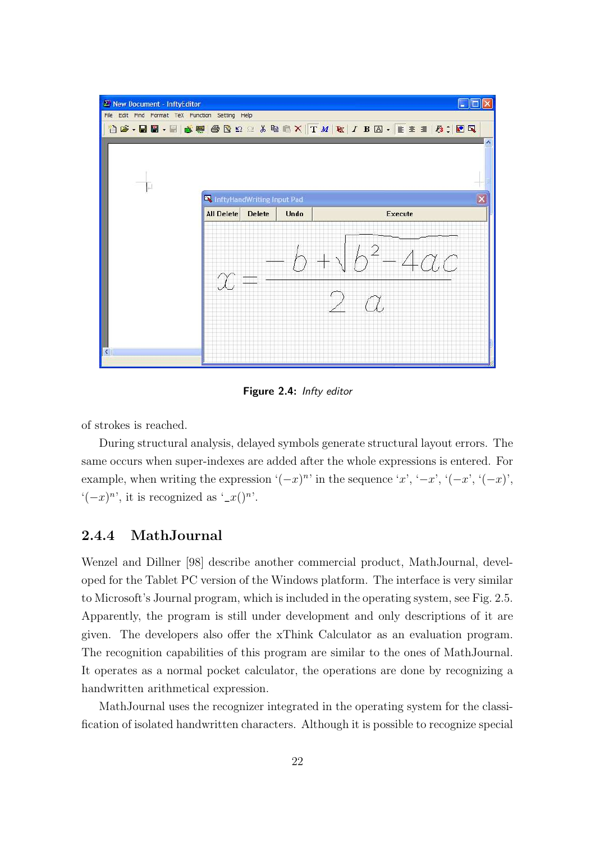

Figure 2.4: Infty editor

of strokes is reached.

During structural analysis, delayed symbols generate structural layout errors. The same occurs when super-indexes are added after the whole expressions is entered. For example, when writing the expression  $(-x)^n$  in the sequence 'x', '-x', ' $(-x)$ ', ' $(-x)$ ',  $\left( (-x)^n \right)$ , it is recognized as  $\left( -x \right)^n$ .

## 2.4.4 MathJournal

Wenzel and Dillner [98] describe another commercial product, MathJournal, developed for the Tablet PC version of the Windows platform. The interface is very similar to Microsoft's Journal program, which is included in the operating system, see Fig. 2.5. Apparently, the program is still under development and only descriptions of it are given. The developers also offer the xThink Calculator as an evaluation program. The recognition capabilities of this program are similar to the ones of MathJournal. It operates as a normal pocket calculator, the operations are done by recognizing a handwritten arithmetical expression.

MathJournal uses the recognizer integrated in the operating system for the classification of isolated handwritten characters. Although it is possible to recognize special